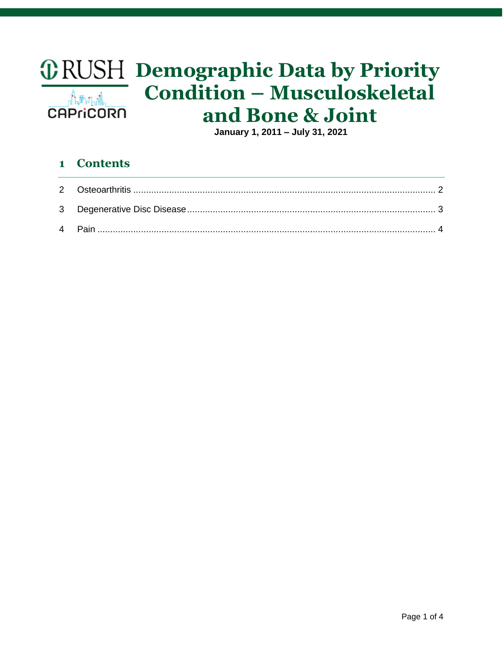# *ORUSH* Demographic Data by Priority **Condition - Musculoskeletal** ⊿๎๎๎<sup>๚</sup>ํฌ๚๚๚๎ and Bone & Joint **CAPriCORN**

January 1, 2011 - July 31, 2021

#### **Contents**  $\mathbf{1}$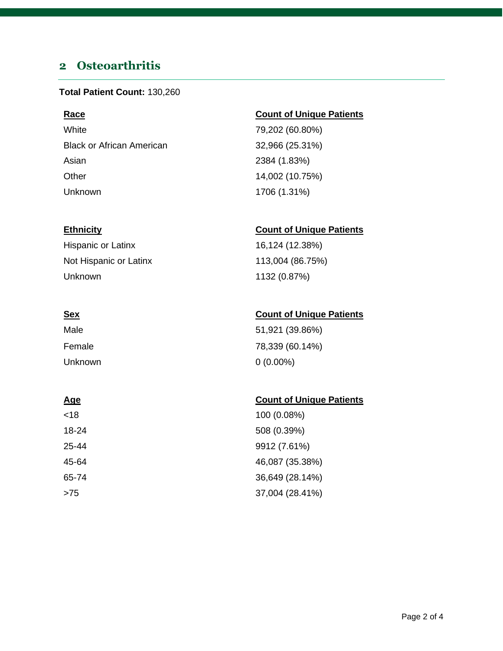# <span id="page-1-0"></span>**2 Osteoarthritis**

#### **Total Patient Count:** 130,260

White 79,202 (60.80%) Black or African American 32,966 (25.31%) Asian 2384 (1.83%) Other 14,002 (10.75%) Unknown 1706 (1.31%)

### **Race Count of Unique Patients**

#### **Ethnicity Count of Unique Patients**

Hispanic or Latinx 16,124 (12.38%) Not Hispanic or Latinx 113,004 (86.75%) Unknown 1132 (0.87%)

## **Sex Count of Unique Patients**

| Male    | 51,921 (39.86%) |
|---------|-----------------|
| Female  | 78,339 (60.14%) |
| Unknown | $0(0.00\%)$     |

## **Age** Count of Unique Patients

| <18   | 100 (0.08%)     |
|-------|-----------------|
| 18-24 | 508 (0.39%)     |
| 25-44 | 9912 (7.61%)    |
| 45-64 | 46,087 (35.38%) |
| 65-74 | 36,649 (28.14%) |
| >75   | 37,004 (28.41%) |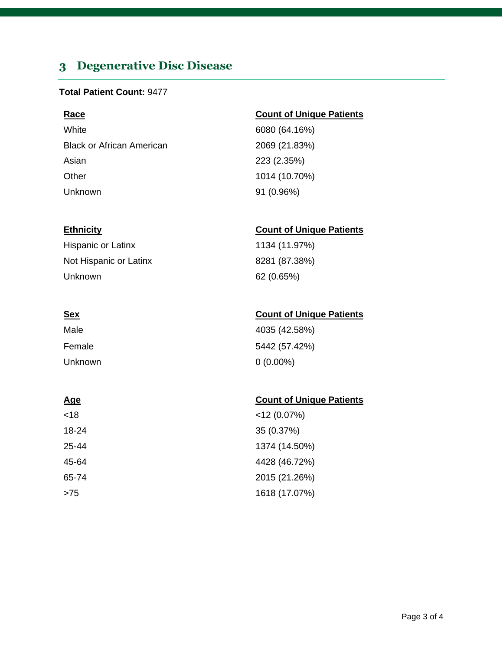# <span id="page-2-0"></span>**3 Degenerative Disc Disease**

#### **Total Patient Count:** 9477

White 6080 (64.16%) Black or African American 2069 (21.83%) Asian 223 (2.35%) Other 1014 (10.70%) Unknown 91 (0.96%)

Hispanic or Latinx 1134 (11.97%) Not Hispanic or Latinx 8281 (87.38%) Unknown 62 (0.65%)

| Male    | 4035 (42.58%) |
|---------|---------------|
| Female  | 5442 (57.42%) |
| Unknown | $0(0.00\%)$   |

## **Age** Count of Unique Patients

| <18   | $<$ 12 (0.07%) |
|-------|----------------|
| 18-24 | 35 (0.37%)     |
| 25-44 | 1374 (14.50%)  |
| 45-64 | 4428 (46.72%)  |
| 65-74 | 2015 (21.26%)  |
| >75   | 1618 (17.07%)  |

### **Race Count of Unique Patients**

## **Ethnicity Count of Unique Patients**

### **Sex Count of Unique Patients**